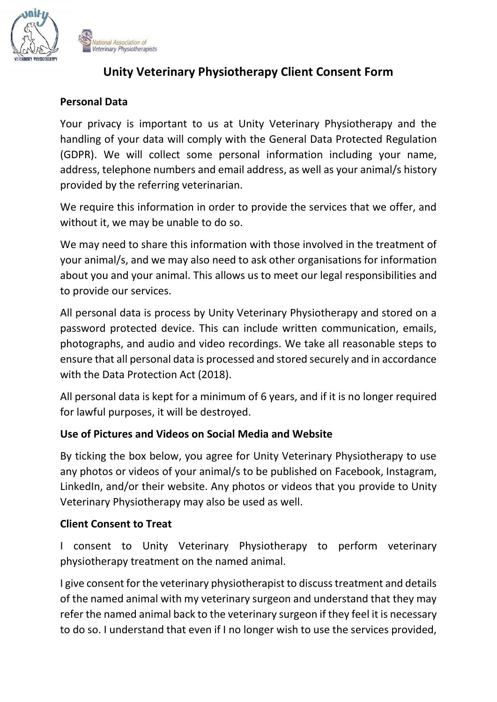

lational Association of Veterinary Physiotherapists

# **Unity Veterinary Physiotherapy Client Consent Form**

## **Personal Data**

Your privacy is important to us at Unity Veterinary Physiotherapy and the handling of your data will comply with the General Data Protected Regulation (GDPR). We will collect some personal information including your name, address, telephone numbers and email address, as well as your animal/s history provided by the referring veterinarian.

We require this information in order to provide the services that we offer, and without it, we may be unable to do so.

We may need to share this information with those involved in the treatment of your animal/s, and we may also need to ask other organisations for information about you and your animal. This allows us to meet our legal responsibilities and to provide our services.

All personal data is process by Unity Veterinary Physiotherapy and stored on a password protected device. This can include written communication, emails, photographs, and audio and video recordings. We take all reasonable steps to ensure that all personal data is processed and stored securely and in accordance with the Data Protection Act (2018).

All personal data is kept for a minimum of 6 years, and if it is no longer required for lawful purposes, it will be destroyed.

### **Use of Pictures and Videos on Social Media and Website**

By ticking the box below, you agree for Unity Veterinary Physiotherapy to use any photos or videos of your animal/s to be published on Facebook, Instagram, LinkedIn, and/or their website. Any photos or videos that you provide to Unity Veterinary Physiotherapy may also be used as well.

### **Client Consent to Treat**

I consent to Unity Veterinary Physiotherapy to perform veterinary physiotherapy treatment on the named animal.

I give consent for the veterinary physiotherapist to discuss treatment and details of the named animal with my veterinary surgeon and understand that they may refer the named animal back to the veterinary surgeon if they feel it is necessary to do so. I understand that even if I no longer wish to use the services provided,